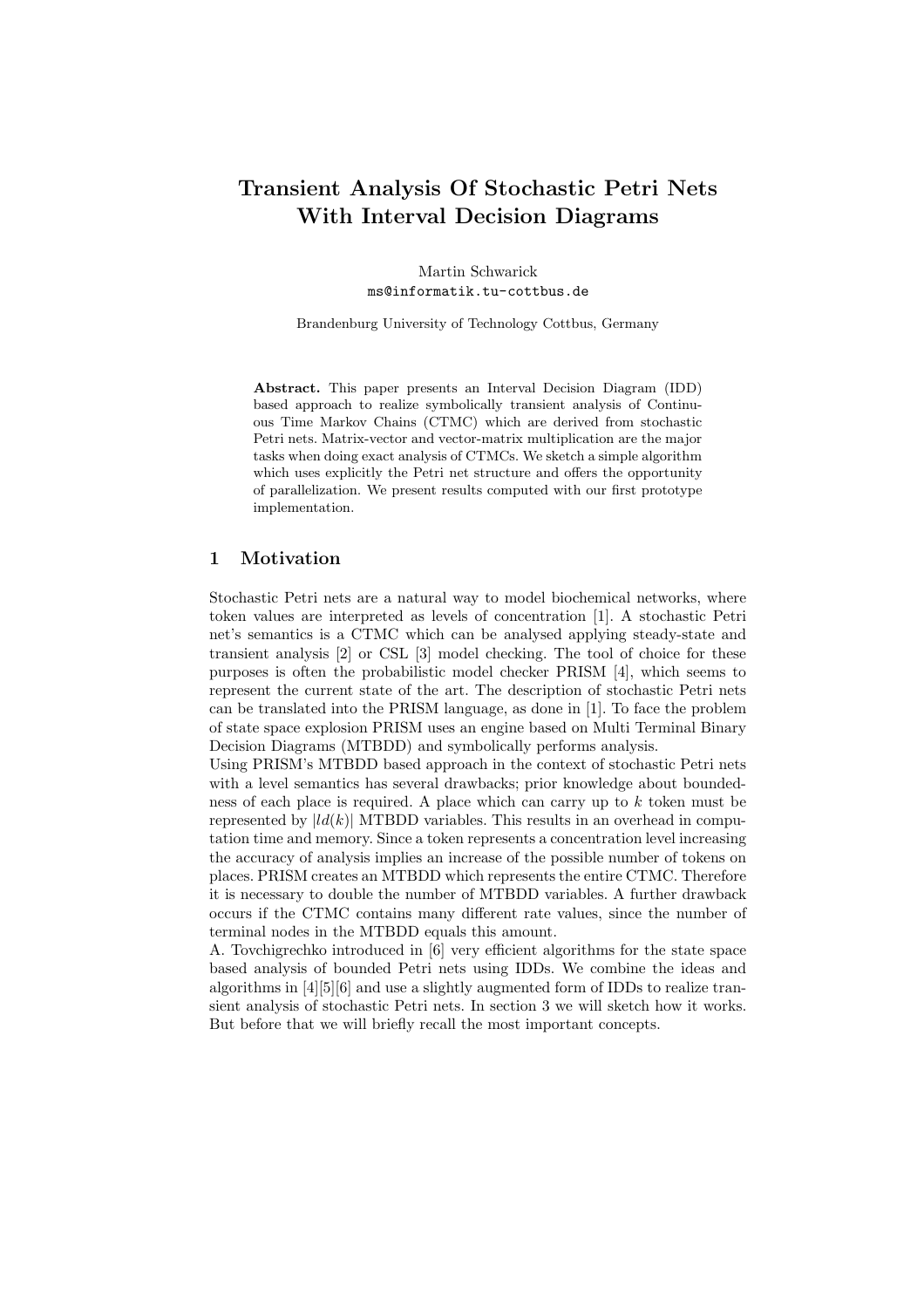# Transient Analysis Of Stochastic Petri Nets With Interval Decision Diagrams

Martin Schwarick ms@informatik.tu-cottbus.de

Brandenburg University of Technology Cottbus, Germany

Abstract. This paper presents an Interval Decision Diagram (IDD) based approach to realize symbolically transient analysis of Continuous Time Markov Chains (CTMC) which are derived from stochastic Petri nets. Matrix-vector and vector-matrix multiplication are the major tasks when doing exact analysis of CTMCs. We sketch a simple algorithm which uses explicitly the Petri net structure and offers the opportunity of parallelization. We present results computed with our first prototype implementation.

#### 1 Motivation

Stochastic Petri nets are a natural way to model biochemical networks, where token values are interpreted as levels of concentration [1]. A stochastic Petri net's semantics is a CTMC which can be analysed applying steady-state and transient analysis [2] or CSL [3] model checking. The tool of choice for these purposes is often the probabilistic model checker PRISM [4], which seems to represent the current state of the art. The description of stochastic Petri nets can be translated into the PRISM language, as done in [1]. To face the problem of state space explosion PRISM uses an engine based on Multi Terminal Binary Decision Diagrams (MTBDD) and symbolically performs analysis.

Using PRISM's MTBDD based approach in the context of stochastic Petri nets with a level semantics has several drawbacks; prior knowledge about boundedness of each place is required. A place which can carry up to  $k$  token must be represented by  $|ld(k)|$  MTBDD variables. This results in an overhead in computation time and memory. Since a token represents a concentration level increasing the accuracy of analysis implies an increase of the possible number of tokens on places. PRISM creates an MTBDD which represents the entire CTMC. Therefore it is necessary to double the number of MTBDD variables. A further drawback occurs if the CTMC contains many different rate values, since the number of terminal nodes in the MTBDD equals this amount.

A. Tovchigrechko introduced in [6] very efficient algorithms for the state space based analysis of bounded Petri nets using IDDs. We combine the ideas and algorithms in [4][5][6] and use a slightly augmented form of IDDs to realize transient analysis of stochastic Petri nets. In section 3 we will sketch how it works. But before that we will briefly recall the most important concepts.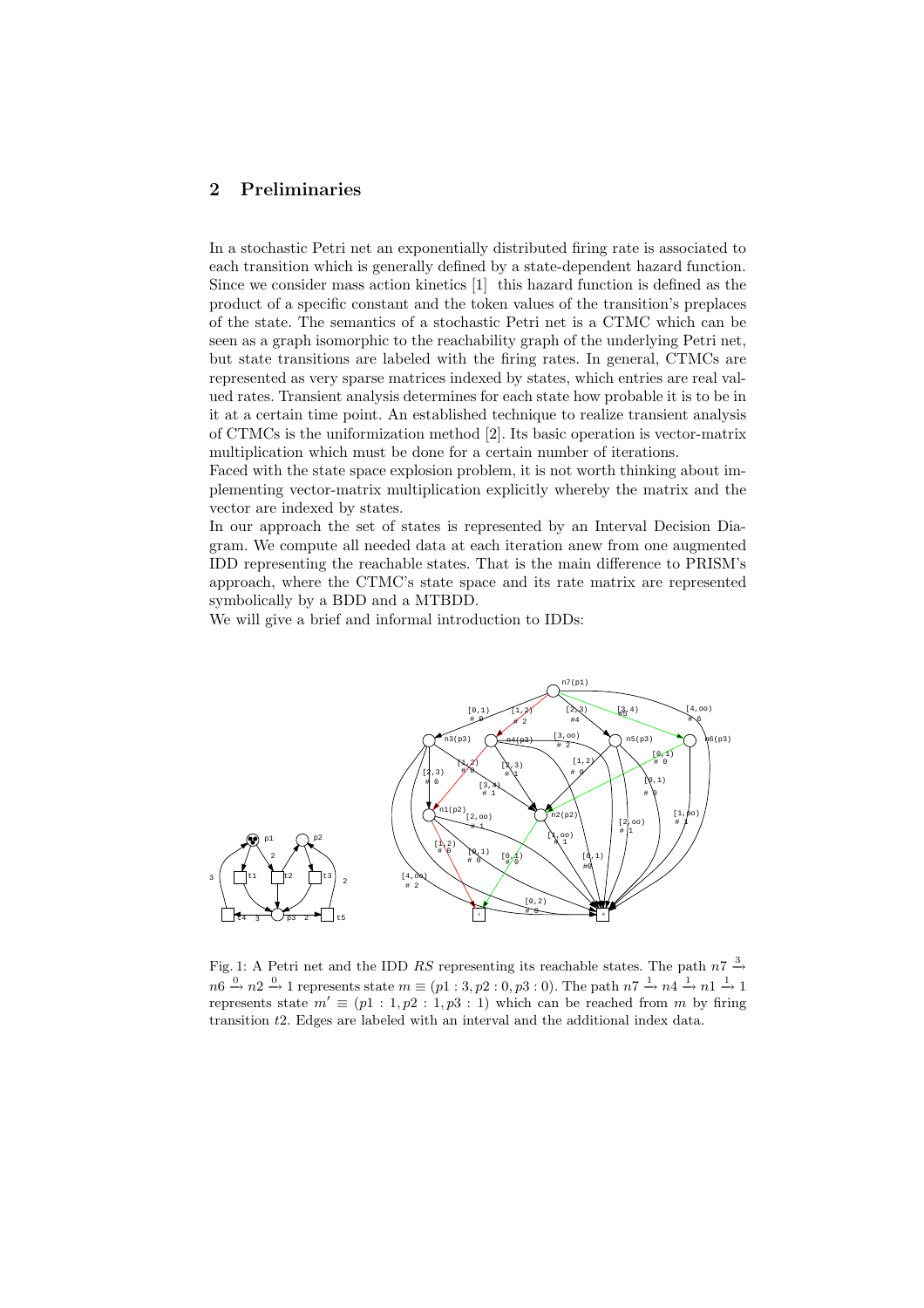## 2 Preliminaries

In a stochastic Petri net an exponentially distributed firing rate is associated to each transition which is generally defined by a state-dependent hazard function. Since we consider mass action kinetics [1] this hazard function is defined as the product of a specific constant and the token values of the transition's preplaces of the state. The semantics of a stochastic Petri net is a CTMC which can be seen as a graph isomorphic to the reachability graph of the underlying Petri net, but state transitions are labeled with the firing rates. In general, CTMCs are represented as very sparse matrices indexed by states, which entries are real valued rates. Transient analysis determines for each state how probable it is to be in it at a certain time point. An established technique to realize transient analysis of CTMCs is the uniformization method [2]. Its basic operation is vector-matrix multiplication which must be done for a certain number of iterations.

Faced with the state space explosion problem, it is not worth thinking about implementing vector-matrix multiplication explicitly whereby the matrix and the vector are indexed by states.

In our approach the set of states is represented by an Interval Decision Diagram. We compute all needed data at each iteration anew from one augmented IDD representing the reachable states. That is the main difference to PRISM's approach, where the CTMC's state space and its rate matrix are represented symbolically by a BDD and a MTBDD.

We will give a brief and informal introduction to IDDs:



Fig. 1: A Petri net and the IDD RS representing its reachable states. The path  $n7 \stackrel{3}{\rightarrow}$  $n6 \stackrel{0}{\rightarrow} n2 \stackrel{0}{\rightarrow} 1$  represents state  $m \equiv (p1:3, p2:0, p3:0)$ . The path  $n7 \stackrel{1}{\rightarrow} n4 \stackrel{1}{\rightarrow} n1 \stackrel{1}{\rightarrow} 1$ represents state  $m' \equiv (p_1 : 1, p_2 : 1, p_3 : 1)$  which can be reached from m by firing transition t2. Edges are labeled with an interval and the additional index data.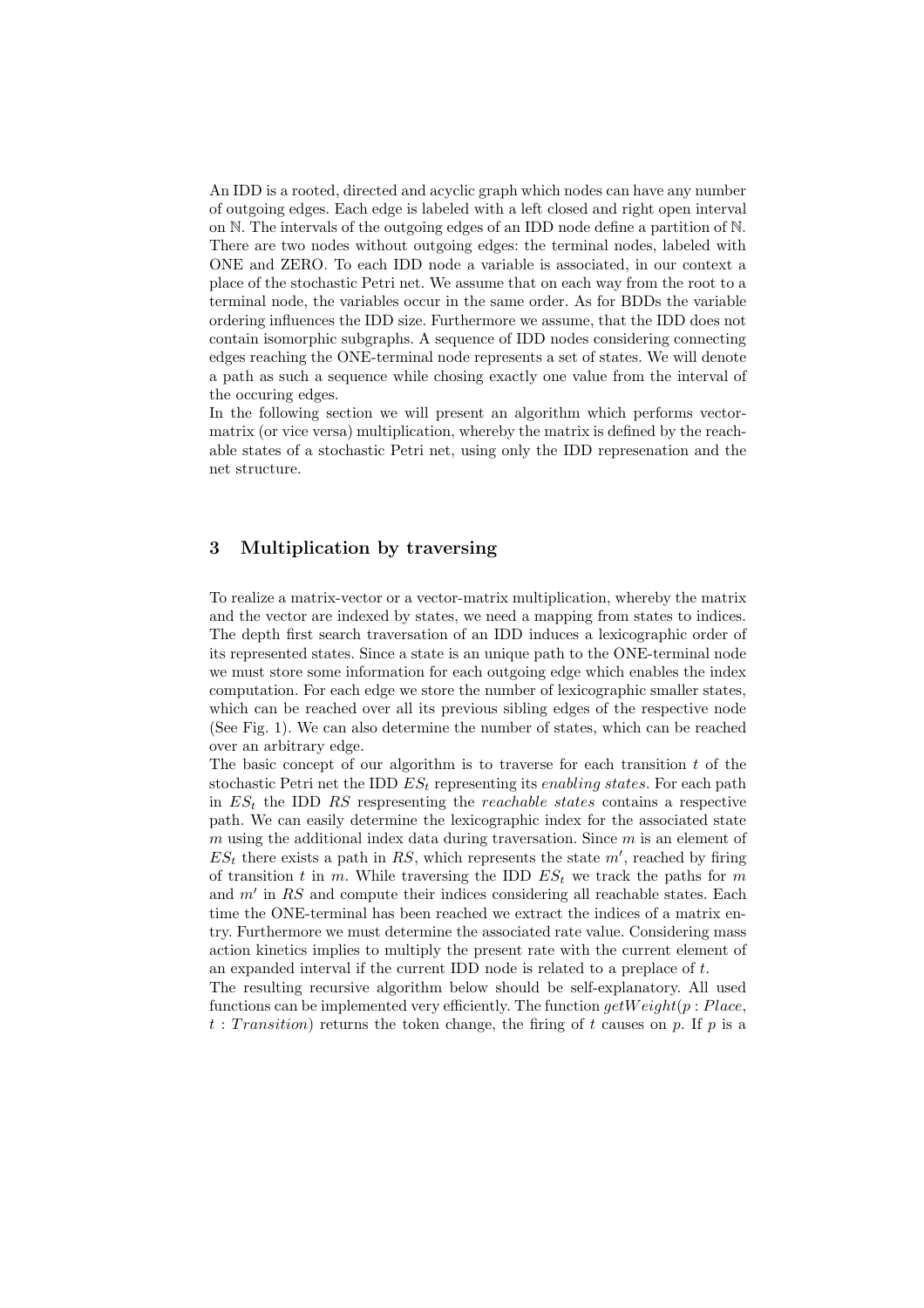An IDD is a rooted, directed and acyclic graph which nodes can have any number of outgoing edges. Each edge is labeled with a left closed and right open interval on N. The intervals of the outgoing edges of an IDD node define a partition of N. There are two nodes without outgoing edges: the terminal nodes, labeled with ONE and ZERO. To each IDD node a variable is associated, in our context a place of the stochastic Petri net. We assume that on each way from the root to a terminal node, the variables occur in the same order. As for BDDs the variable ordering influences the IDD size. Furthermore we assume, that the IDD does not contain isomorphic subgraphs. A sequence of IDD nodes considering connecting edges reaching the ONE-terminal node represents a set of states. We will denote a path as such a sequence while chosing exactly one value from the interval of the occuring edges.

In the following section we will present an algorithm which performs vectormatrix (or vice versa) multiplication, whereby the matrix is defined by the reachable states of a stochastic Petri net, using only the IDD represenation and the net structure.

#### 3 Multiplication by traversing

To realize a matrix-vector or a vector-matrix multiplication, whereby the matrix and the vector are indexed by states, we need a mapping from states to indices. The depth first search traversation of an IDD induces a lexicographic order of its represented states. Since a state is an unique path to the ONE-terminal node we must store some information for each outgoing edge which enables the index computation. For each edge we store the number of lexicographic smaller states, which can be reached over all its previous sibling edges of the respective node (See Fig. 1). We can also determine the number of states, which can be reached over an arbitrary edge.

The basic concept of our algorithm is to traverse for each transition  $t$  of the stochastic Petri net the IDD  $ES_t$  representing its *enabling states*. For each path in  $ES<sub>t</sub>$  the IDD RS respresenting the *reachable states* contains a respective path. We can easily determine the lexicographic index for the associated state m using the additional index data during traversation. Since  $m$  is an element of  $ES_t$  there exists a path in RS, which represents the state  $m'$ , reached by firing of transition t in m. While traversing the IDD  $ES_t$  we track the paths for m and  $m'$  in RS and compute their indices considering all reachable states. Each time the ONE-terminal has been reached we extract the indices of a matrix entry. Furthermore we must determine the associated rate value. Considering mass action kinetics implies to multiply the present rate with the current element of an expanded interval if the current IDD node is related to a preplace of t.

The resulting recursive algorithm below should be self-explanatory. All used functions can be implemented very efficiently. The function  $qetWeight(p : Place,$ t: Transition) returns the token change, the firing of t causes on p. If p is a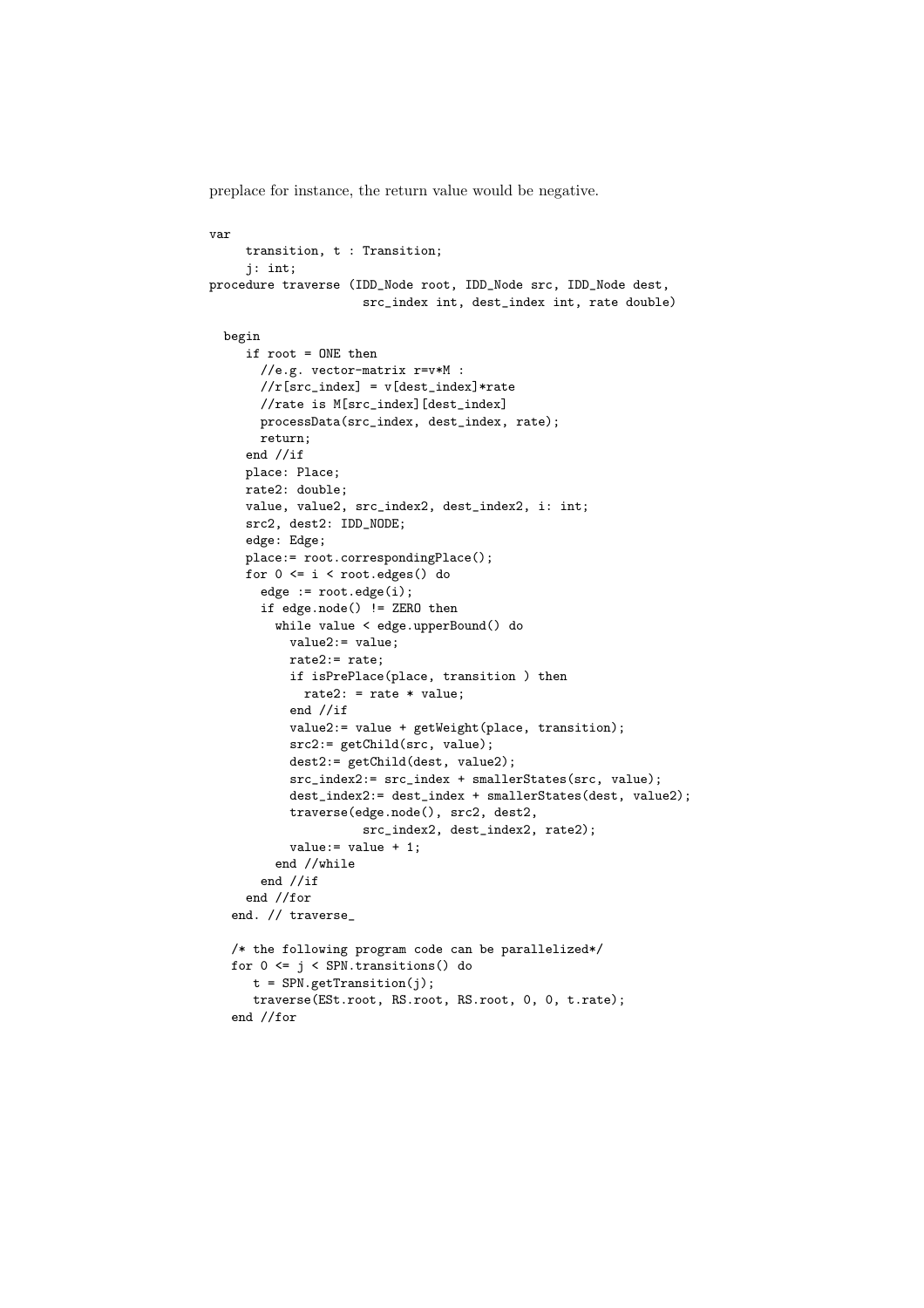preplace for instance, the return value would be negative.

```
var
     transition, t : Transition;
     j: int;
procedure traverse (IDD_Node root, IDD_Node src, IDD_Node dest,
                     src_index int, dest_index int, rate double)
 begin
     if root = ONE then
       //e.g. vector-matrix r=v*M :
       //r[src_index] = v[dest_index] * rate//rate is M[src_index][dest_index]
       processData(src_index, dest_index, rate);
       return;
     end //if
     place: Place;
     rate2: double;
     value, value2, src_index2, dest_index2, i: int;
     src2, dest2: IDD_NODE;
     edge: Edge;
     place:= root.correspondingPlace();
     for 0 \le i \le root.edges() do
       edge := root.edge(i);
       if edge.node() != ZERO then
         while value < edge.upperBound() do
           value2:= value;
           rate2:= rate;
           if isPrePlace(place, transition ) then
             rate2: = rate * value;
           end //if
           value2:= value + getWeight(place, transition);
           src2:= getChild(src, value);
           dest2:= getChild(dest, value2);
           src_index2:= src_index + smallerStates(src, value);
           dest_index2:= dest_index + smallerStates(dest, value2);
           traverse(edge.node(), src2, dest2,
                     src_index2, dest_index2, rate2);
           value := value + 1;
         end //while
       end //if
     end //for
   end. // traverse_
   /* the following program code can be parallelized*/
   for 0 \leq j \leq \text{SPN}. transitions () do
      t = SPN.getTransition(j);
      traverse(ESt.root, RS.root, RS.root, 0, 0, t.rate);
   end //for
```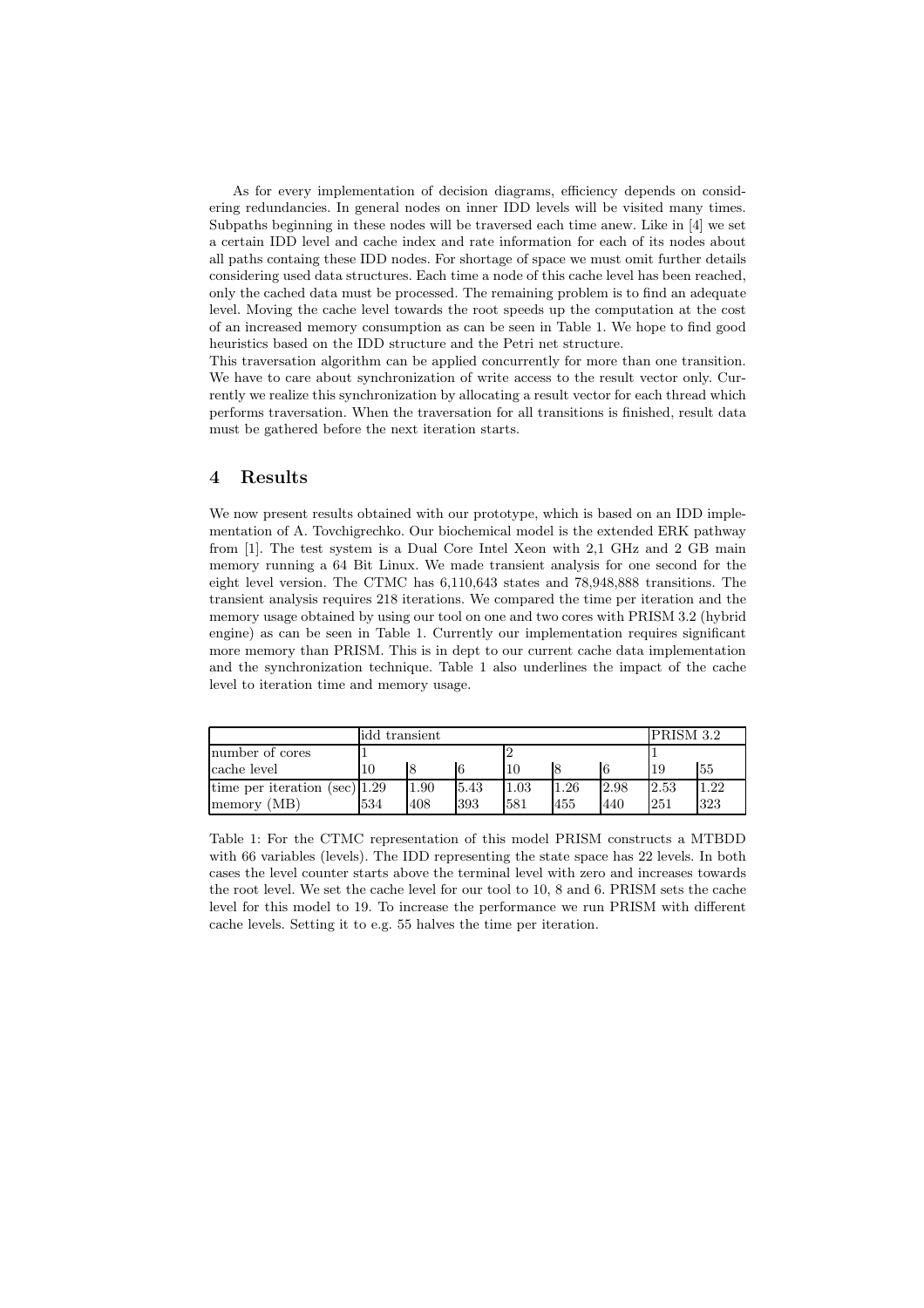As for every implementation of decision diagrams, efficiency depends on considering redundancies. In general nodes on inner IDD levels will be visited many times. Subpaths beginning in these nodes will be traversed each time anew. Like in [4] we set a certain IDD level and cache index and rate information for each of its nodes about all paths containg these IDD nodes. For shortage of space we must omit further details considering used data structures. Each time a node of this cache level has been reached, only the cached data must be processed. The remaining problem is to find an adequate level. Moving the cache level towards the root speeds up the computation at the cost of an increased memory consumption as can be seen in Table 1. We hope to find good heuristics based on the IDD structure and the Petri net structure.

This traversation algorithm can be applied concurrently for more than one transition. We have to care about synchronization of write access to the result vector only. Currently we realize this synchronization by allocating a result vector for each thread which performs traversation. When the traversation for all transitions is finished, result data must be gathered before the next iteration starts.

#### 4 Results

We now present results obtained with our prototype, which is based on an IDD implementation of A. Tovchigrechko. Our biochemical model is the extended ERK pathway from [1]. The test system is a Dual Core Intel Xeon with 2,1 GHz and 2 GB main memory running a 64 Bit Linux. We made transient analysis for one second for the eight level version. The CTMC has 6,110,643 states and 78,948,888 transitions. The transient analysis requires 218 iterations. We compared the time per iteration and the memory usage obtained by using our tool on one and two cores with PRISM 3.2 (hybrid engine) as can be seen in Table 1. Currently our implementation requires significant more memory than PRISM. This is in dept to our current cache data implementation and the synchronization technique. Table 1 also underlines the impact of the cache level to iteration time and memory usage.

|                                 | idd transient |      |      |          |      |      | PRISM 3.2 |      |
|---------------------------------|---------------|------|------|----------|------|------|-----------|------|
| number of cores                 |               |      |      |          |      |      |           |      |
| cache level                     |               | 8    |      |          |      |      | -19       | 55   |
| time per iteration (sec) $1.29$ |               | 1.90 | 5.43 | $1.03\,$ | 1.26 | 2.98 | 2.53      | 1.22 |
| memory (MB)                     | 534           | 408  | 393  | 581      | 455  | 440  | 251       | 323  |

Table 1: For the CTMC representation of this model PRISM constructs a MTBDD with 66 variables (levels). The IDD representing the state space has 22 levels. In both cases the level counter starts above the terminal level with zero and increases towards the root level. We set the cache level for our tool to 10, 8 and 6. PRISM sets the cache level for this model to 19. To increase the performance we run PRISM with different cache levels. Setting it to e.g. 55 halves the time per iteration.